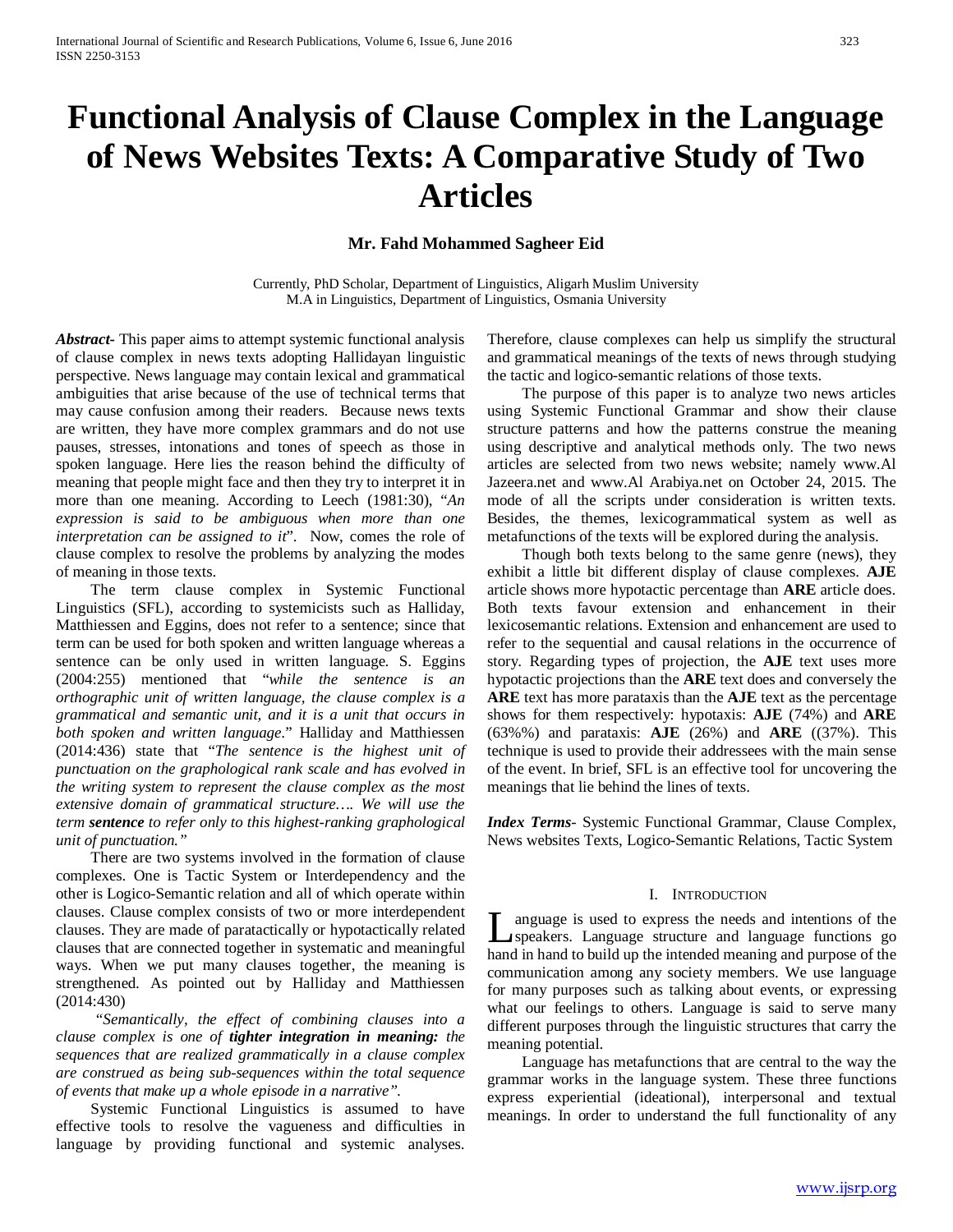# **Functional Analysis of Clause Complex in the Language of News Websites Texts: A Comparative Study of Two Articles**

# **Mr. Fahd Mohammed Sagheer Eid**

Currently, PhD Scholar, Department of Linguistics, Aligarh Muslim University M.A in Linguistics, Department of Linguistics, Osmania University

*Abstract***-** This paper aims to attempt systemic functional analysis of clause complex in news texts adopting Hallidayan linguistic perspective. News language may contain lexical and grammatical ambiguities that arise because of the use of technical terms that may cause confusion among their readers. Because news texts are written, they have more complex grammars and do not use pauses, stresses, intonations and tones of speech as those in spoken language. Here lies the reason behind the difficulty of meaning that people might face and then they try to interpret it in more than one meaning. According to Leech (1981:30), "*An expression is said to be ambiguous when more than one interpretation can be assigned to it*". Now, comes the role of clause complex to resolve the problems by analyzing the modes of meaning in those texts.

 The term clause complex in Systemic Functional Linguistics (SFL), according to systemicists such as Halliday, Matthiessen and Eggins, does not refer to a sentence; since that term can be used for both spoken and written language whereas a sentence can be only used in written language. S. Eggins (2004:255) mentioned that "*while the sentence is an orthographic unit of written language, the clause complex is a grammatical and semantic unit, and it is a unit that occurs in both spoken and written language*." Halliday and Matthiessen (2014:436) state that "*The sentence is the highest unit of punctuation on the graphological rank scale and has evolved in the writing system to represent the clause complex as the most extensive domain of grammatical structure…. We will use the term sentence to refer only to this highest-ranking graphological unit of punctuation."* 

 There are two systems involved in the formation of clause complexes. One is Tactic System or Interdependency and the other is Logico-Semantic relation and all of which operate within clauses. Clause complex consists of two or more interdependent clauses. They are made of paratactically or hypotactically related clauses that are connected together in systematic and meaningful ways. When we put many clauses together, the meaning is strengthened. As pointed out by Halliday and Matthiessen (2014:430)

 *"Semantically, the effect of combining clauses into a clause complex is one of tighter integration in meaning: the sequences that are realized grammatically in a clause complex are construed as being sub-sequences within the total sequence of events that make up a whole episode in a narrative".*

 Systemic Functional Linguistics is assumed to have effective tools to resolve the vagueness and difficulties in language by providing functional and systemic analyses.

Therefore, clause complexes can help us simplify the structural and grammatical meanings of the texts of news through studying the tactic and logico-semantic relations of those texts.

 The purpose of this paper is to analyze two news articles using Systemic Functional Grammar and show their clause structure patterns and how the patterns construe the meaning using descriptive and analytical methods only. The two news articles are selected from two news website; namely www.Al Jazeera.net and www.Al Arabiya.net on October 24, 2015. The mode of all the scripts under consideration is written texts. Besides, the themes, lexicogrammatical system as well as metafunctions of the texts will be explored during the analysis.

 Though both texts belong to the same genre (news), they exhibit a little bit different display of clause complexes. **AJE** article shows more hypotactic percentage than **ARE** article does. Both texts favour extension and enhancement in their lexicosemantic relations. Extension and enhancement are used to refer to the sequential and causal relations in the occurrence of story. Regarding types of projection, the **AJE** text uses more hypotactic projections than the **ARE** text does and conversely the **ARE** text has more parataxis than the **AJE** text as the percentage shows for them respectively: hypotaxis: **AJE** (74%) and **ARE** (63%%) and parataxis: **AJE** (26%) and **ARE** ((37%). This technique is used to provide their addressees with the main sense of the event. In brief, SFL is an effective tool for uncovering the meanings that lie behind the lines of texts.

*Index Terms*- Systemic Functional Grammar, Clause Complex, News websites Texts, Logico-Semantic Relations, Tactic System

#### I. INTRODUCTION

anguage is used to express the needs and intentions of the speakers. Language structure and language functions go I anguage is used to express the needs and intentions of the speakers. Language structure and language functions go hand in hand to build up the intended meaning and purpose of the communication among any society members. We use language for many purposes such as talking about events, or expressing what our feelings to others. Language is said to serve many different purposes through the linguistic structures that carry the meaning potential.

 Language has metafunctions that are central to the way the grammar works in the language system. These three functions express experiential (ideational), interpersonal and textual meanings. In order to understand the full functionality of any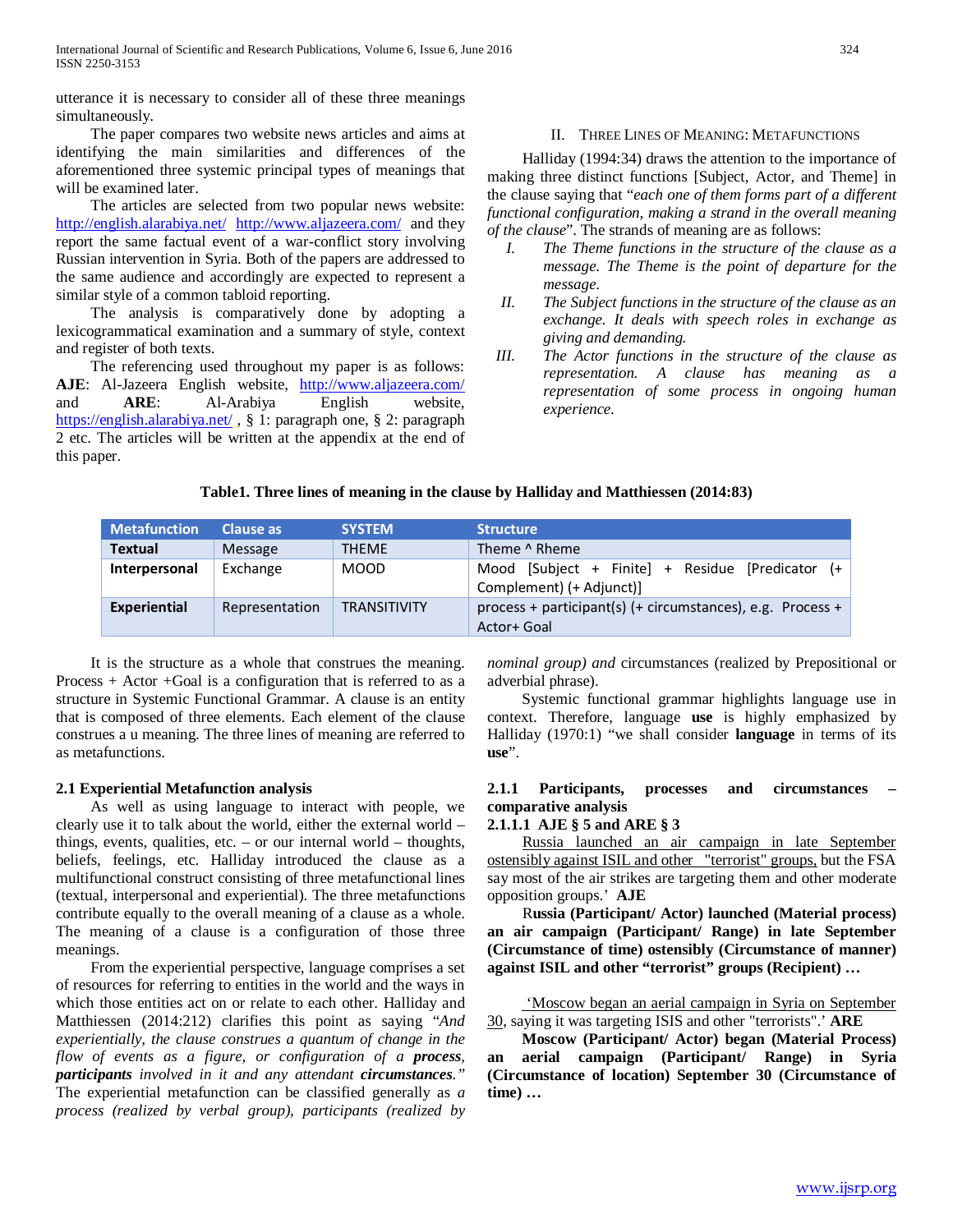utterance it is necessary to consider all of these three meanings simultaneously.

 The paper compares two website news articles and aims at identifying the main similarities and differences of the aforementioned three systemic principal types of meanings that will be examined later.

 The articles are selected from two popular news website: <http://english.alarabiya.net/><http://www.aljazeera.com/>and they report the same factual event of a war-conflict story involving Russian intervention in Syria. Both of the papers are addressed to the same audience and accordingly are expected to represent a similar style of a common tabloid reporting.

 The analysis is comparatively done by adopting a lexicogrammatical examination and a summary of style, context and register of both texts.

 The referencing used throughout my paper is as follows: **AJE**: Al-Jazeera English website, <http://www.aljazeera.com/> and **ARE**: Al-Arabiya English website, <https://english.alarabiya.net/> , § 1: paragraph one, § 2: paragraph 2 etc. The articles will be written at the appendix at the end of this paper.

# II. THREE LINES OF MEANING: METAFUNCTIONS

 Halliday (1994:34) draws the attention to the importance of making three distinct functions [Subject, Actor, and Theme] in the clause saying that "*each one of them forms part of a different functional configuration, making a strand in the overall meaning of the clause*". The strands of meaning are as follows:

- *I. The Theme functions in the structure of the clause as a message. The Theme is the point of departure for the message.*
- *II. The Subject functions in the structure of the clause as an exchange. It deals with speech roles in exchange as giving and demanding.*
- *III. The Actor functions in the structure of the clause as representation. A clause has meaning as a representation of some process in ongoing human experience.*

|  |  |  |  |  | Table1. Three lines of meaning in the clause by Halliday and Matthiessen (2014:83) |  |
|--|--|--|--|--|------------------------------------------------------------------------------------|--|
|--|--|--|--|--|------------------------------------------------------------------------------------|--|

| <b>Metafunction</b> | Clause as      | <b>SYSTEM</b>       | <b>Structure</b>                                                             |
|---------------------|----------------|---------------------|------------------------------------------------------------------------------|
| Textual             | Message        | <b>THFMF</b>        | Theme ^ Rheme                                                                |
| Interpersonal       | Exchange       | <b>MOOD</b>         | Mood [Subject + Finite] + Residue [Predicator (+<br>Complement) (+ Adjunct)] |
| Experiential        | Representation | <b>TRANSITIVITY</b> | process + participant(s) (+ circumstances), e.g. Process +<br>Actor+ Goal    |

 It is the structure as a whole that construes the meaning. Process + Actor +Goal is a configuration that is referred to as a structure in Systemic Functional Grammar. A clause is an entity that is composed of three elements. Each element of the clause construes a u meaning. The three lines of meaning are referred to as metafunctions.

# **2.1 Experiential Metafunction analysis**

 As well as using language to interact with people, we clearly use it to talk about the world, either the external world – things, events, qualities, etc.  $-$  or our internal world  $-$  thoughts, beliefs, feelings, etc. Halliday introduced the clause as a multifunctional construct consisting of three metafunctional lines (textual, interpersonal and experiential). The three metafunctions contribute equally to the overall meaning of a clause as a whole. The meaning of a clause is a configuration of those three meanings.

 From the experiential perspective, language comprises a set of resources for referring to entities in the world and the ways in which those entities act on or relate to each other. Halliday and Matthiessen (2014:212) clarifies this point as saying "*And experientially, the clause construes a quantum of change in the flow of events as a figure, or configuration of a process, participants involved in it and any attendant circumstances."* The experiential metafunction can be classified generally as *a process (realized by verbal group), participants (realized by*  *nominal group) and* circumstances (realized by Prepositional or adverbial phrase).

 Systemic functional grammar highlights language use in context. Therefore, language **use** is highly emphasized by Halliday (1970:1) "we shall consider **language** in terms of its **use**".

# **2.1.1 Participants, processes and circumstances – comparative analysis**

#### **2.1.1.1 AJE § 5 and ARE § 3**

 Russia launched an air campaign in late September ostensibly against ISIL and other "terrorist" groups, but the FSA say most of the air strikes are targeting them and other moderate opposition groups.' **AJE**

 R**ussia (Participant/ Actor) launched (Material process) an air campaign (Participant/ Range) in late September (Circumstance of time) ostensibly (Circumstance of manner) against ISIL and other "terrorist" groups (Recipient) …**

 'Moscow began an aerial campaign in Syria on September 30, saying it was targeting ISIS and other "terrorists".' **ARE**

 **Moscow (Participant/ Actor) began (Material Process) an aerial campaign (Participant/ Range) in Syria (Circumstance of location) September 30 (Circumstance of time) …**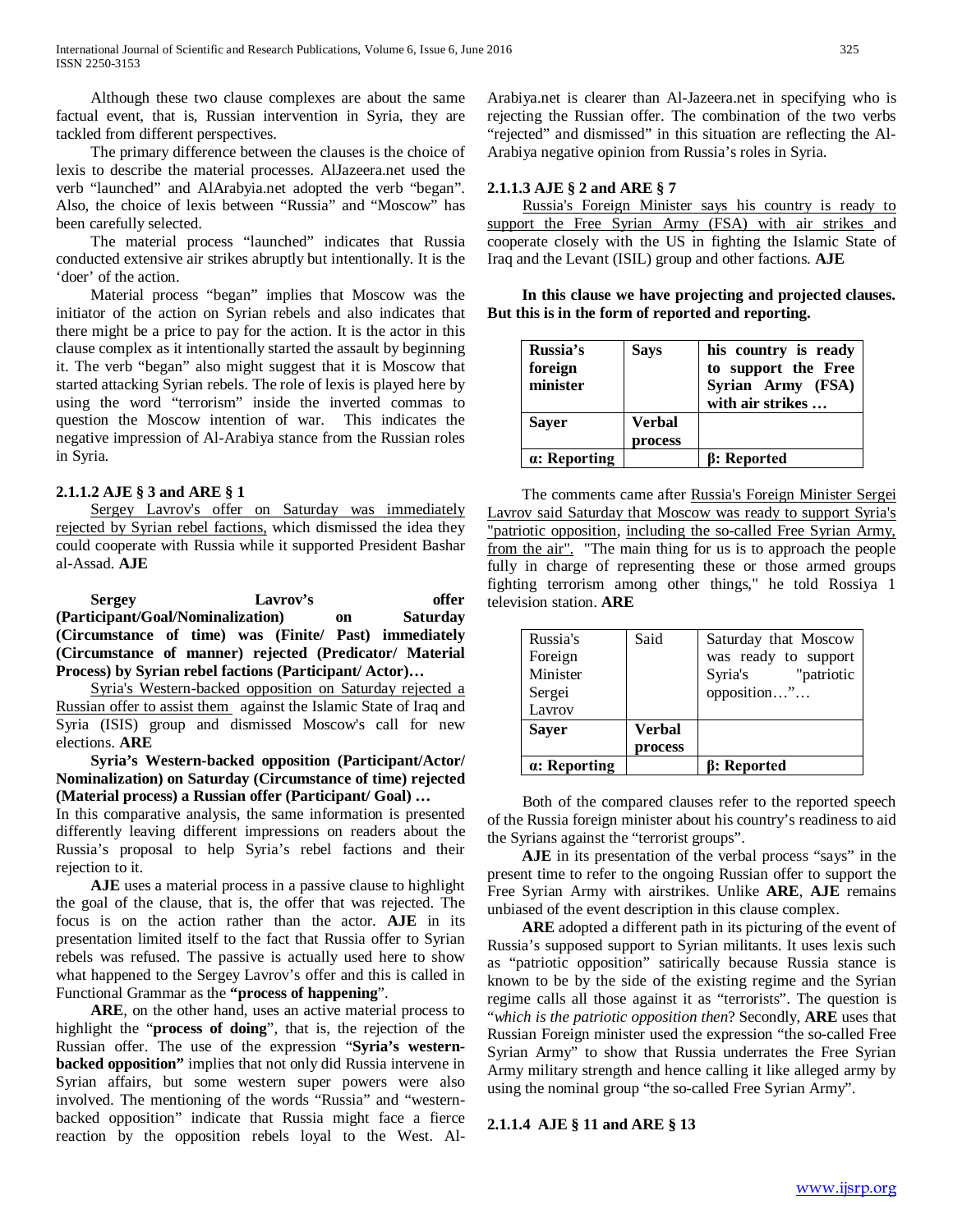Although these two clause complexes are about the same factual event, that is, Russian intervention in Syria, they are tackled from different perspectives.

 The primary difference between the clauses is the choice of lexis to describe the material processes. AlJazeera.net used the verb "launched" and AlArabyia.net adopted the verb "began". Also, the choice of lexis between "Russia" and "Moscow" has been carefully selected.

 The material process "launched" indicates that Russia conducted extensive air strikes abruptly but intentionally. It is the 'doer' of the action.

 Material process "began" implies that Moscow was the initiator of the action on Syrian rebels and also indicates that there might be a price to pay for the action. It is the actor in this clause complex as it intentionally started the assault by beginning it. The verb "began" also might suggest that it is Moscow that started attacking Syrian rebels. The role of lexis is played here by using the word "terrorism" inside the inverted commas to question the Moscow intention of war. This indicates the negative impression of Al-Arabiya stance from the Russian roles in Syria.

# **2.1.1.2 AJE § 3 and ARE § 1**

Sergey Lavrov's offer on Saturday was immediately rejected by Syrian rebel factions, which dismissed the idea they could cooperate with Russia while it supported President Bashar al-Assad. **AJE**

 **Sergey Lavrov's offer (Participant/Goal/Nominalization) on Saturday (Circumstance of time) was (Finite/ Past) immediately (Circumstance of manner) rejected (Predicator/ Material Process) by Syrian rebel factions (Participant/ Actor)…**

 Syria's Western-backed opposition on Saturday rejected a Russian offer to assist them against the Islamic State of Iraq and Syria (ISIS) group and dismissed Moscow's call for new elections. **ARE**

 **Syria's Western-backed opposition (Participant/Actor/ Nominalization) on Saturday (Circumstance of time) rejected (Material process) a Russian offer (Participant/ Goal) …**

In this comparative analysis, the same information is presented differently leaving different impressions on readers about the Russia's proposal to help Syria's rebel factions and their rejection to it.

 **AJE** uses a material process in a passive clause to highlight the goal of the clause, that is, the offer that was rejected. The focus is on the action rather than the actor. **AJE** in its presentation limited itself to the fact that Russia offer to Syrian rebels was refused. The passive is actually used here to show what happened to the Sergey Lavrov's offer and this is called in Functional Grammar as the **"process of happening**".

 **ARE**, on the other hand, uses an active material process to highlight the "**process of doing**", that is, the rejection of the Russian offer. The use of the expression "**Syria's westernbacked opposition"** implies that not only did Russia intervene in Syrian affairs, but some western super powers were also involved. The mentioning of the words "Russia" and "westernbacked opposition" indicate that Russia might face a fierce reaction by the opposition rebels loyal to the West. AlArabiya.net is clearer than Al-Jazeera.net in specifying who is rejecting the Russian offer. The combination of the two verbs "rejected" and dismissed" in this situation are reflecting the Al-Arabiya negative opinion from Russia's roles in Syria.

# **2.1.1.3 AJE § 2 and ARE § 7**

 Russia's Foreign Minister says his country is ready to support the Free Syrian Army (FSA) with air strikes and cooperate closely with the US in fighting the Islamic State of Iraq and the Levant (ISIL) group and other factions. **AJE** 

 **In this clause we have projecting and projected clauses. But this is in the form of reported and reporting.**

| Russia's<br>foreign<br>minister | <b>Says</b>       | his country is ready<br>to support the Free<br>Syrian Army (FSA)<br>with air strikes |
|---------------------------------|-------------------|--------------------------------------------------------------------------------------|
| <b>Sayer</b>                    | Verbal<br>process |                                                                                      |
| a: Reporting                    |                   | <b>B:</b> Reported                                                                   |

 The comments came after Russia's Foreign Minister Sergei Lavrov said Saturday that Moscow was ready to support Syria's "patriotic opposition, including the so-called Free Syrian Army, from the air". "The main thing for us is to approach the people fully in charge of representing these or those armed groups fighting terrorism among other things," he told Rossiya 1 television station. **ARE**

| Russia's<br>Foreign<br>Minister<br>Sergei<br>Lavrov | Said                     | Saturday that Moscow<br>was ready to support<br>"patriotic<br>Syria's<br>opposition" |
|-----------------------------------------------------|--------------------------|--------------------------------------------------------------------------------------|
| <b>Saver</b>                                        | <b>Verbal</b><br>process |                                                                                      |
| a: Reporting                                        |                          | <b>B: Reported</b>                                                                   |

 Both of the compared clauses refer to the reported speech of the Russia foreign minister about his country's readiness to aid the Syrians against the "terrorist groups".

 **AJE** in its presentation of the verbal process "says" in the present time to refer to the ongoing Russian offer to support the Free Syrian Army with airstrikes. Unlike **ARE**, **AJE** remains unbiased of the event description in this clause complex.

 **ARE** adopted a different path in its picturing of the event of Russia's supposed support to Syrian militants. It uses lexis such as "patriotic opposition" satirically because Russia stance is known to be by the side of the existing regime and the Syrian regime calls all those against it as "terrorists". The question is "*which is the patriotic opposition then*? Secondly, **ARE** uses that Russian Foreign minister used the expression "the so-called Free Syrian Army" to show that Russia underrates the Free Syrian Army military strength and hence calling it like alleged army by using the nominal group "the so-called Free Syrian Army".

# **2.1.1.4 AJE § 11 and ARE § 13**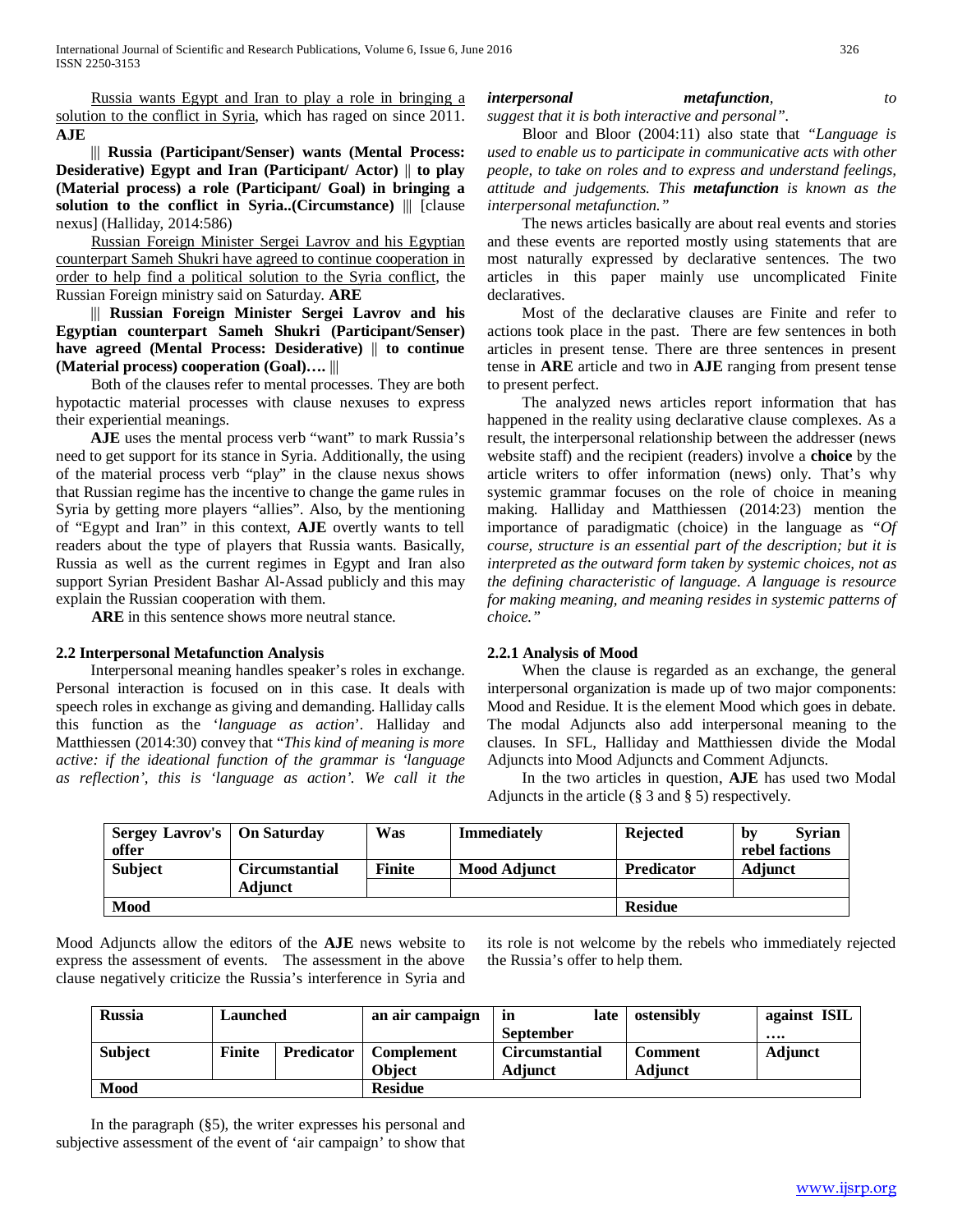International Journal of Scientific and Research Publications, Volume 6, Issue 6, June 2016 326 ISSN 2250-3153

 Russia wants Egypt and Iran to play a role in bringing a solution to the conflict in Syria, which has raged on since 2011. **AJE**

 ||| **Russia (Participant/Senser) wants (Mental Process: Desiderative) Egypt and Iran (Participant/ Actor)** || **to play (Material process) a role (Participant/ Goal) in bringing a solution to the conflict in Syria..(Circumstance)** ||| [clause nexus] (Halliday, 2014:586)

 Russian Foreign Minister Sergei Lavrov and his Egyptian counterpart Sameh Shukri have agreed to continue cooperation in order to help find a political solution to the Syria conflict, the Russian Foreign ministry said on Saturday. **ARE**

 ||| **Russian Foreign Minister Sergei Lavrov and his Egyptian counterpart Sameh Shukri (Participant/Senser) have agreed (Mental Process: Desiderative)** || **to continue (Material process) cooperation (Goal)….** |||

 Both of the clauses refer to mental processes. They are both hypotactic material processes with clause nexuses to express their experiential meanings.

 **AJE** uses the mental process verb "want" to mark Russia's need to get support for its stance in Syria. Additionally, the using of the material process verb "play" in the clause nexus shows that Russian regime has the incentive to change the game rules in Syria by getting more players "allies". Also, by the mentioning of "Egypt and Iran" in this context, **AJE** overtly wants to tell readers about the type of players that Russia wants. Basically, Russia as well as the current regimes in Egypt and Iran also support Syrian President Bashar Al-Assad publicly and this may explain the Russian cooperation with them.

**ARE** in this sentence shows more neutral stance.

#### **2.2 Interpersonal Metafunction Analysis**

 Interpersonal meaning handles speaker's roles in exchange. Personal interaction is focused on in this case. It deals with speech roles in exchange as giving and demanding. Halliday calls this function as the '*language as action*'. Halliday and Matthiessen (2014:30) convey that "*This kind of meaning is more active: if the ideational function of the grammar is 'language as reflection', this is 'language as action'. We call it the* 

#### *interpersonal metafunction, to suggest that it is both interactive and personal".*

 Bloor and Bloor (2004:11) also state that *"Language is used to enable us to participate in communicative acts with other people, to take on roles and to express and understand feelings, attitude and judgements. This metafunction is known as the interpersonal metafunction."*

 The news articles basically are about real events and stories and these events are reported mostly using statements that are most naturally expressed by declarative sentences. The two articles in this paper mainly use uncomplicated Finite declaratives.

 Most of the declarative clauses are Finite and refer to actions took place in the past. There are few sentences in both articles in present tense. There are three sentences in present tense in **ARE** article and two in **AJE** ranging from present tense to present perfect.

 The analyzed news articles report information that has happened in the reality using declarative clause complexes. As a result, the interpersonal relationship between the addresser (news website staff) and the recipient (readers) involve a **choice** by the article writers to offer information (news) only. That's why systemic grammar focuses on the role of choice in meaning making. Halliday and Matthiessen (2014:23) mention the importance of paradigmatic (choice) in the language as *"Of course, structure is an essential part of the description; but it is interpreted as the outward form taken by systemic choices, not as the defining characteristic of language. A language is resource for making meaning, and meaning resides in systemic patterns of choice."*

#### **2.2.1 Analysis of Mood**

 When the clause is regarded as an exchange, the general interpersonal organization is made up of two major components: Mood and Residue. It is the element Mood which goes in debate. The modal Adjuncts also add interpersonal meaning to the clauses. In SFL, Halliday and Matthiessen divide the Modal Adjuncts into Mood Adjuncts and Comment Adjuncts.

 In the two articles in question, **AJE** has used two Modal Adjuncts in the article  $(\S 3 \text{ and } \S 5)$  respectively.

| Sergey Lavrov's   On Saturday<br>offer |                       | Was           | <b>Immediately</b> | Rejected          | <b>Syrian</b><br>by<br>rebel factions |
|----------------------------------------|-----------------------|---------------|--------------------|-------------------|---------------------------------------|
|                                        |                       |               |                    |                   |                                       |
| <b>Subject</b>                         | <b>Circumstantial</b> | <b>Finite</b> | Mood Adjunct       | <b>Predicator</b> | <b>Adjunct</b>                        |
|                                        | Adjunct               |               |                    |                   |                                       |
| <b>Mood</b>                            |                       |               |                    | <b>Residue</b>    |                                       |

Mood Adjuncts allow the editors of the **AJE** news website to express the assessment of events. The assessment in the above clause negatively criticize the Russia's interference in Syria and its role is not welcome by the rebels who immediately rejected the Russia's offer to help them.

| <b>Russia</b>  | Launched      |                   | an air campaign   | in                    | late | ostensibly     | against ISIL   |
|----------------|---------------|-------------------|-------------------|-----------------------|------|----------------|----------------|
|                |               |                   |                   | <b>September</b>      |      |                |                |
| <b>Subject</b> | <b>Finite</b> | <b>Predicator</b> | <b>Complement</b> | <b>Circumstantial</b> |      | Comment        | <b>Adjunct</b> |
|                |               |                   | <b>Object</b>     | <b>Adjunct</b>        |      | <b>Adjunct</b> |                |
| Mood           |               | <b>Residue</b>    |                   |                       |      |                |                |

 In the paragraph (§5), the writer expresses his personal and subjective assessment of the event of 'air campaign' to show that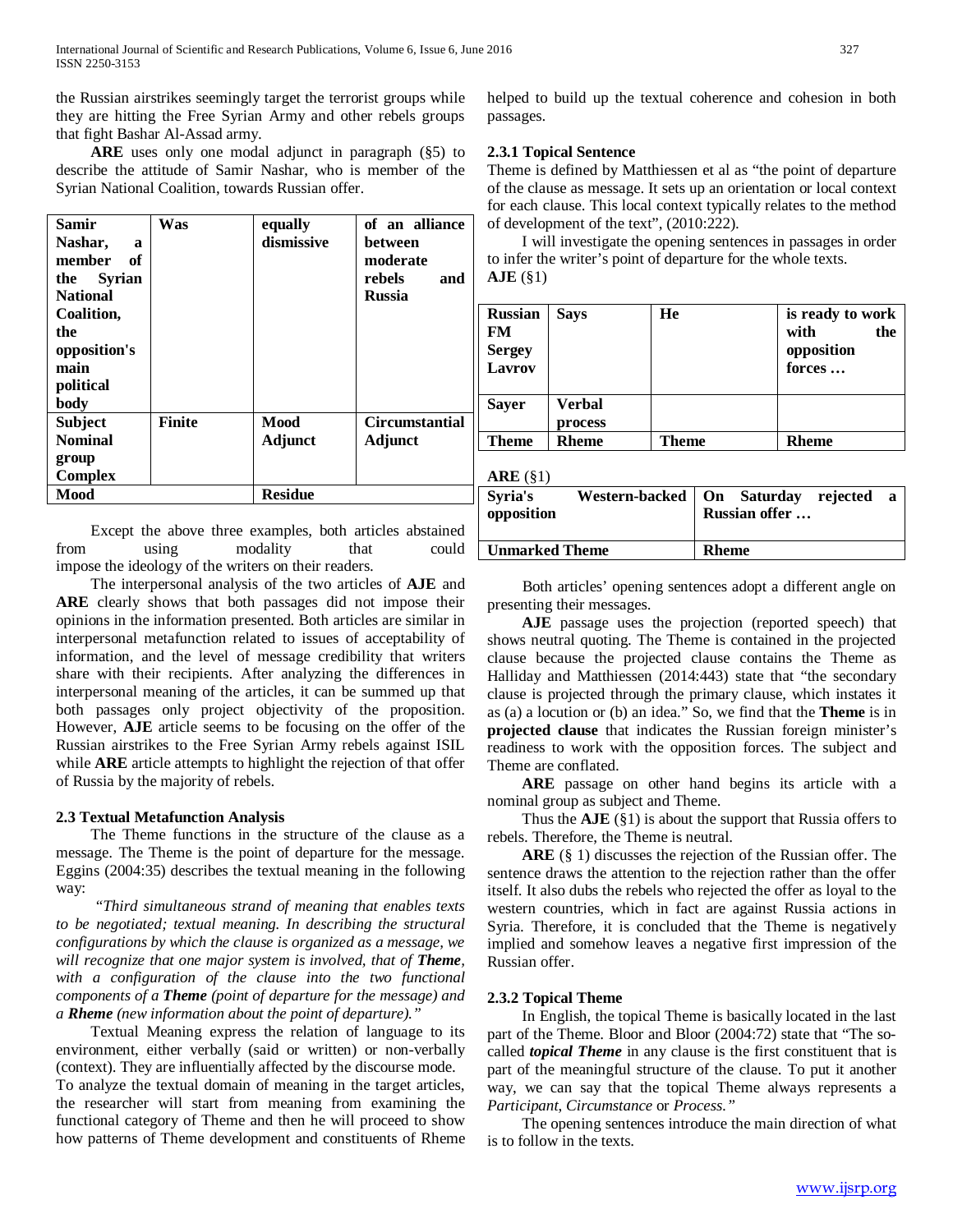the Russian airstrikes seemingly target the terrorist groups while they are hitting the Free Syrian Army and other rebels groups that fight Bashar Al-Assad army.

 **ARE** uses only one modal adjunct in paragraph (§5) to describe the attitude of Samir Nashar, who is member of the Syrian National Coalition, towards Russian offer.

| <b>Samir</b><br>Nashar,<br>a<br>member of<br>the Syrian<br><b>National</b><br>Coalition,<br>the<br>opposition's<br>main<br>political<br>body | Was           | equally<br>dismissive | of an alliance<br>between<br>moderate<br>rebels<br>and<br><b>Russia</b> |
|----------------------------------------------------------------------------------------------------------------------------------------------|---------------|-----------------------|-------------------------------------------------------------------------|
| <b>Subject</b>                                                                                                                               | <b>Finite</b> | Mood                  | <b>Circumstantial</b>                                                   |
| <b>Nominal</b>                                                                                                                               |               | <b>Adjunct</b>        | Adjunct                                                                 |
| group                                                                                                                                        |               |                       |                                                                         |
| <b>Complex</b>                                                                                                                               |               |                       |                                                                         |
| Mood                                                                                                                                         |               | <b>Residue</b>        |                                                                         |

 Except the above three examples, both articles abstained from using modality that could impose the ideology of the writers on their readers.

 The interpersonal analysis of the two articles of **AJE** and **ARE** clearly shows that both passages did not impose their opinions in the information presented. Both articles are similar in interpersonal metafunction related to issues of acceptability of information, and the level of message credibility that writers share with their recipients. After analyzing the differences in interpersonal meaning of the articles, it can be summed up that both passages only project objectivity of the proposition. However, **AJE** article seems to be focusing on the offer of the Russian airstrikes to the Free Syrian Army rebels against ISIL while **ARE** article attempts to highlight the rejection of that offer of Russia by the majority of rebels.

# **2.3 Textual Metafunction Analysis**

 The Theme functions in the structure of the clause as a message. The Theme is the point of departure for the message. Eggins (2004:35) describes the textual meaning in the following way:

 *"Third simultaneous strand of meaning that enables texts to be negotiated; textual meaning. In describing the structural configurations by which the clause is organized as a message, we will recognize that one major system is involved, that of Theme, with a configuration of the clause into the two functional components of a Theme (point of departure for the message) and a Rheme (new information about the point of departure)."* 

 Textual Meaning express the relation of language to its environment, either verbally (said or written) or non-verbally (context). They are influentially affected by the discourse mode.

To analyze the textual domain of meaning in the target articles, the researcher will start from meaning from examining the functional category of Theme and then he will proceed to show how patterns of Theme development and constituents of Rheme helped to build up the textual coherence and cohesion in both passages.

# **2.3.1 Topical Sentence**

Theme is defined by Matthiessen et al as "the point of departure of the clause as message. It sets up an orientation or local context for each clause. This local context typically relates to the method of development of the text", (2010:222).

 I will investigate the opening sentences in passages in order to infer the writer's point of departure for the whole texts. **AJE** (§1)

| <b>Russian</b><br><b>FM</b><br><b>Sergey</b><br><b>Lavrov</b> | <b>Says</b>       | He    | is ready to work<br>with<br>the<br>opposition<br>forces |
|---------------------------------------------------------------|-------------------|-------|---------------------------------------------------------|
| <b>Sayer</b>                                                  | Verbal<br>process |       |                                                         |
| <b>Theme</b>                                                  | <b>Rheme</b>      | Theme | <b>Rheme</b>                                            |

#### **ARE** (§1)

| Western-backed   On Saturday rejected<br>a<br>Russian offer |
|-------------------------------------------------------------|
| <b>Rheme</b>                                                |
|                                                             |

 Both articles' opening sentences adopt a different angle on presenting their messages.

 **AJE** passage uses the projection (reported speech) that shows neutral quoting. The Theme is contained in the projected clause because the projected clause contains the Theme as Halliday and Matthiessen (2014:443) state that "the secondary clause is projected through the primary clause, which instates it as (a) a locution or (b) an idea." So, we find that the **Theme** is in **projected clause** that indicates the Russian foreign minister's readiness to work with the opposition forces. The subject and Theme are conflated.

 **ARE** passage on other hand begins its article with a nominal group as subject and Theme.

 Thus the **AJE** (§1) is about the support that Russia offers to rebels. Therefore, the Theme is neutral.

 **ARE** (§ 1) discusses the rejection of the Russian offer. The sentence draws the attention to the rejection rather than the offer itself. It also dubs the rebels who rejected the offer as loyal to the western countries, which in fact are against Russia actions in Syria. Therefore, it is concluded that the Theme is negatively implied and somehow leaves a negative first impression of the Russian offer.

#### **2.3.2 Topical Theme**

 In English, the topical Theme is basically located in the last part of the Theme. Bloor and Bloor (2004:72) state that "The socalled *topical Theme* in any clause is the first constituent that is part of the meaningful structure of the clause. To put it another way, we can say that the topical Theme always represents a *Participant*, *Circumstance* or *Process."*

 The opening sentences introduce the main direction of what is to follow in the texts.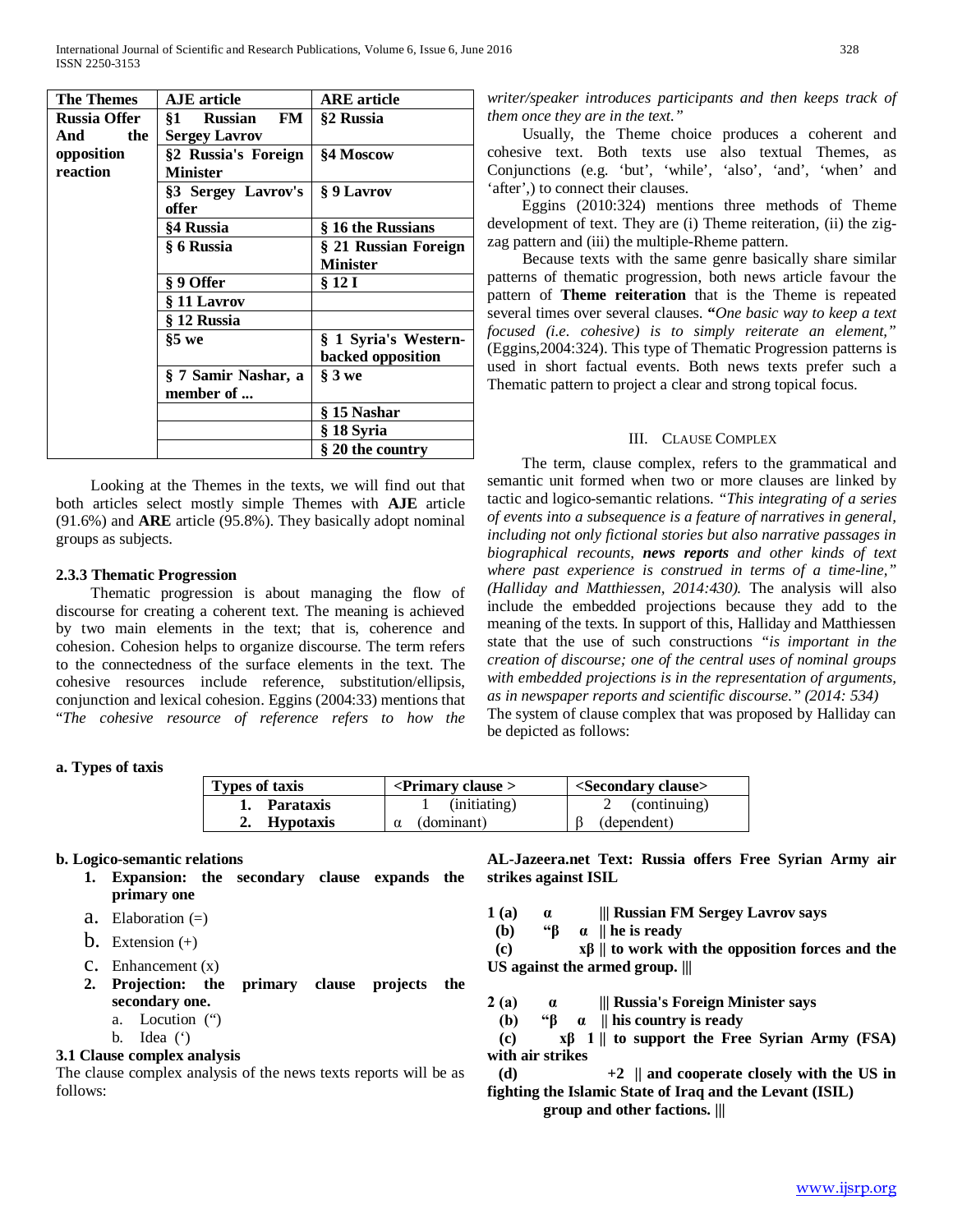| <b>The Themes</b>   | <b>AJE</b> article                | <b>ARE</b> article   |
|---------------------|-----------------------------------|----------------------|
| <b>Russia Offer</b> | FM<br><b>Russian</b><br><b>§1</b> | §2 Russia            |
| the<br>And          | <b>Sergey Lavrov</b>              |                      |
| opposition          | §2 Russia's Foreign               | §4 Moscow            |
| reaction            | <b>Minister</b>                   |                      |
|                     | §3 Sergey Lavrov's                | § 9 Lavrov           |
|                     | offer                             |                      |
|                     | §4 Russia                         | § 16 the Russians    |
|                     | § 6 Russia                        | § 21 Russian Foreign |
|                     |                                   | <b>Minister</b>      |
|                     | § 9 Offer                         | § 12 I               |
|                     | § 11 Lavrov                       |                      |
|                     | § 12 Russia                       |                      |
|                     | $§5$ we                           | § 1 Syria's Western- |
|                     |                                   | backed opposition    |
|                     | § 7 Samir Nashar, a               | $§$ 3 we             |
|                     | member of                         |                      |
|                     |                                   | § 15 Nashar          |
|                     |                                   | § 18 Syria           |
|                     |                                   | § 20 the country     |

 Looking at the Themes in the texts, we will find out that both articles select mostly simple Themes with **AJE** article (91.6%) and **ARE** article (95.8%). They basically adopt nominal groups as subjects.

# **2.3.3 Thematic Progression**

 Thematic progression is about managing the flow of discourse for creating a coherent text. The meaning is achieved by two main elements in the text; that is, coherence and cohesion. Cohesion helps to organize discourse. The term refers to the connectedness of the surface elements in the text. The cohesive resources include reference, substitution/ellipsis, conjunction and lexical cohesion. Eggins (2004:33) mentions that "*The cohesive resource of reference refers to how the* 

# **a. Types of taxis**

| <b>Types of taxis</b>  | $\leq$ Primary clause $>$ | <secondary clause=""></secondary> |
|------------------------|---------------------------|-----------------------------------|
| Parataxis              | (initiating)              | 2 (continuing)                    |
| <b>Hypotaxis</b><br>2. | (dominant)                | (dependent)                       |

# **b. Logico-semantic relations**

- **1. Expansion: the secondary clause expands the primary one**
- **a.** Elaboration  $(=)$
- $\mathbf b$ . Extension  $(+)$
- $C.$  Enhancement  $(x)$
- **2. Projection: the primary clause projects the secondary one.**
	- a. Locution (")
	- b. Idea (')

# **3.1 Clause complex analysis**

The clause complex analysis of the news texts reports will be as follows:

*writer/speaker introduces participants and then keeps track of them once they are in the text."*

 Usually, the Theme choice produces a coherent and cohesive text. Both texts use also textual Themes, as Conjunctions (e.g. 'but', 'while', 'also', 'and', 'when' and 'after',) to connect their clauses.

 Eggins (2010:324) mentions three methods of Theme development of text. They are (i) Theme reiteration, (ii) the zigzag pattern and (iii) the multiple-Rheme pattern.

 Because texts with the same genre basically share similar patterns of thematic progression, both news article favour the pattern of **Theme reiteration** that is the Theme is repeated several times over several clauses. **"***One basic way to keep a text focused (i.e. cohesive) is to simply reiterate an element,"* (Eggins,2004:324). This type of Thematic Progression patterns is used in short factual events. Both news texts prefer such a Thematic pattern to project a clear and strong topical focus.

# III. CLAUSE COMPLEX

 The term, clause complex, refers to the grammatical and semantic unit formed when two or more clauses are linked by tactic and logico-semantic relations. *"This integrating of a series of events into a subsequence is a feature of narratives in general, including not only fictional stories but also narrative passages in biographical recounts, news reports and other kinds of text where past experience is construed in terms of a time-line," (Halliday and Matthiessen, 2014:430).* The analysis will also include the embedded projections because they add to the meaning of the texts. In support of this, Halliday and Matthiessen state that the use of such constructions *"is important in the creation of discourse; one of the central uses of nominal groups with embedded projections is in the representation of arguments, as in newspaper reports and scientific discourse." (2014: 534)* The system of clause complex that was proposed by Halliday can

be depicted as follows:

**strikes against ISIL**

**AL-Jazeera.net Text: Russia offers Free Syrian Army air** 

- **1 (a) α ||| Russian FM Sergey Lavrov says**
- **(b) "β α || he is ready**

 **(c) xβ || to work with the opposition forces and the US against the armed group. |||**

- **2 (a) α ||| Russia's Foreign Minister says** 
	- **(b) "β α || his country is ready**

 **(c) xβ 1 || to support the Free Syrian Army (FSA) with air strikes** 

 **(d) +2 || and cooperate closely with the US in fighting the Islamic State of Iraq and the Levant (ISIL)** 

**group and other factions. |||**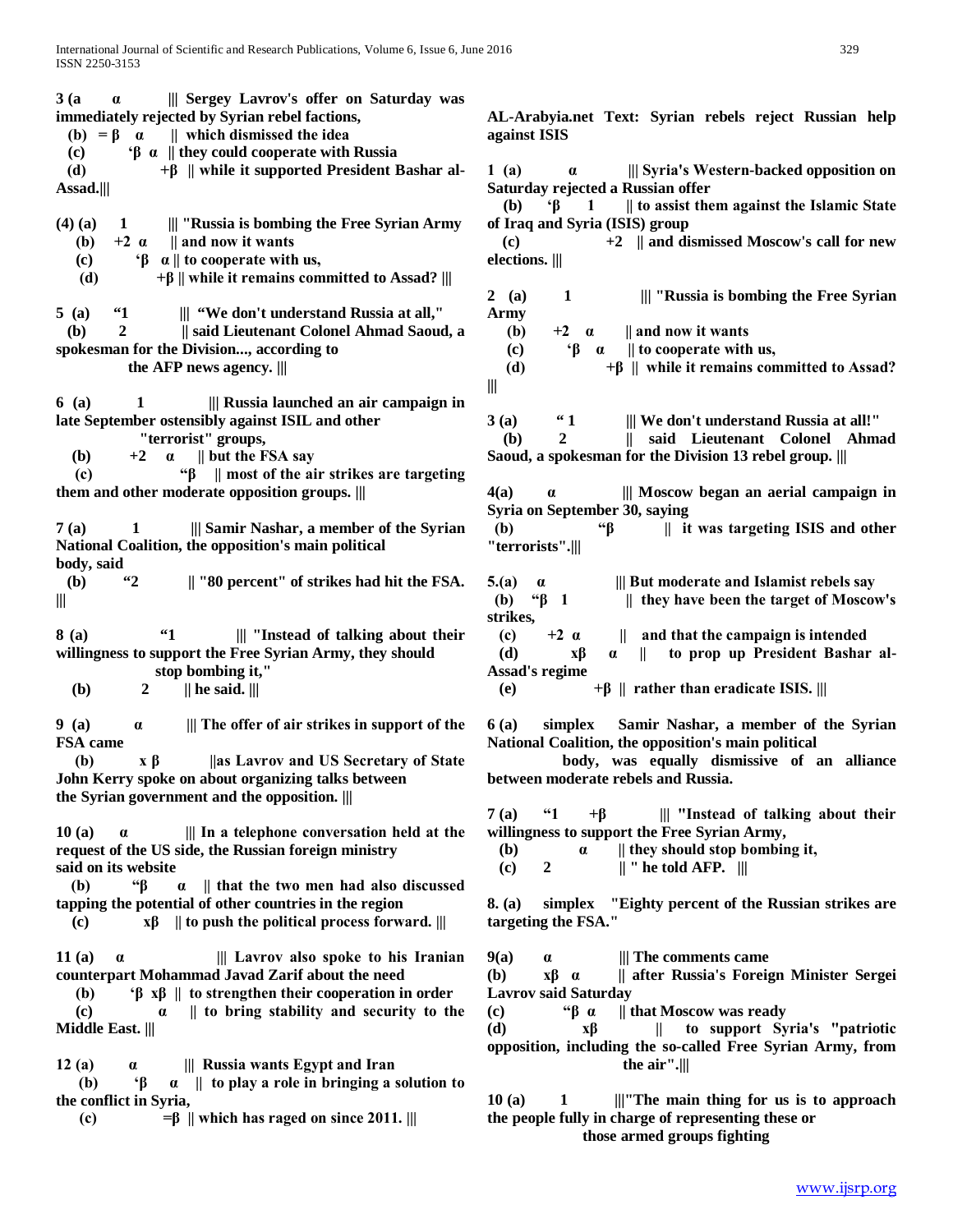| 3(a)<br>    Sergey Lavrov's offer on Saturday was<br>$\alpha$                        |                          |
|--------------------------------------------------------------------------------------|--------------------------|
| immediately rejected by Syrian rebel factions,                                       | AL-                      |
| (b) = $\beta$ $\alpha$    which dismissed the idea                                   | agai                     |
| $\mathfrak{g}$ $\alpha$    they could cooperate with Russia<br>(c)                   |                          |
| $+\beta$    while it supported President Bashar al-<br>(d)                           | $1\;\mathrm{(s)}$        |
| Assad.                                                                               | Satı                     |
|                                                                                      | $\mathfrak{a}$           |
| $(4)$ $(a)$<br>    "Russia is bombing the Free Syrian Army<br>$\mathbf{1}$           | of I                     |
| $+2\ \alpha$    and now it wants<br>(b)<br>$\beta$ a    to cooperate with us,        | (c                       |
| (c)<br>$+\beta$    while it remains committed to Assad?    <br>(d)                   | elec                     |
|                                                                                      | 2(                       |
| 5(a)<br>$\mathbf{1}$<br>    "We don't understand Russia at all,"                     | Arn                      |
| 2<br>   said Lieutenant Colonel Ahmad Saoud, a<br>$\mathbf{b}$                       | €                        |
| spokesman for the Division, according to                                             | $\left($                 |
| the AFP news agency.                                                                 | $\overline{\mathcal{L}}$ |
|                                                                                      | Ш                        |
| 6(a)<br>1<br>    Russia launched an air campaign in                                  |                          |
| late September ostensibly against ISIL and other<br>"terrorist" groups,              | 3(a)                     |
| $\alpha$    but the FSA say<br>( <b>b</b> )<br>$+2$                                  | (ł<br>Sao                |
| " $\beta$    most of the air strikes are targeting<br>(c)                            |                          |
| them and other moderate opposition groups.                                           | 4(a)                     |
|                                                                                      | Syri                     |
| Samir Nashar, a member of the Syrian<br>7 (a)<br>1                                   | (b)                      |
| National Coalition, the opposition's main political                                  | "ter                     |
| body, said                                                                           |                          |
| $\mathbf{42}$<br>   "80 percent" of strikes had hit the FSA.<br>(b)                  | 5.(a)                    |
| Ш                                                                                    | (b)                      |
| 64<br>8 (a)<br>    "Instead of talking about their                                   | stril<br>(c)             |
| willingness to support the Free Syrian Army, they should                             | (d                       |
| stop bombing it,"                                                                    | <b>Ass:</b>              |
| (b)<br>$  $ he said. $   $<br>2                                                      | (e)                      |
|                                                                                      |                          |
| 9(a)<br>    The offer of air strikes in support of the<br>$\alpha$                   | 6(a)                     |
| FSA came                                                                             | <b>Nati</b>              |
| (b)<br>$\mathbf{x} \mathbf{\beta}$<br>as Lavrov and US Secretary of State            |                          |
| John Kerry spoke on about organizing talks between                                   | bety                     |
| the Syrian government and the opposition.                                            | 7(a)                     |
| 10(a)<br>$\parallel$ In a telephone conversation held at the<br>$\alpha$             | will                     |
| request of the US side, the Russian foreign ministry                                 | (b                       |
| said on its website                                                                  | (c)                      |
| "β<br>(b)<br>   that the two men had also discussed<br>$\alpha$                      |                          |
| tapping the potential of other countries in the region                               | $8.$ (a                  |
| $x\beta$    to push the political process forward.   <br>(c)                         | targ                     |
|                                                                                      |                          |
| 11 (a)<br>$\parallel$ Lavrov also spoke to his Iranian<br>$\alpha$                   | 9(a)                     |
| counterpart Mohammad Javad Zarif about the need                                      | ( <b>b</b> )             |
| ' $\beta$ x $\beta$    to strengthen their cooperation in order<br>(b)               | Lav                      |
| to bring stability and security to the<br>(c)<br>$\alpha$<br><b>Middle East.    </b> | (c)<br>(d)               |
|                                                                                      |                          |
| 12(a)<br>    Russia wants Egypt and Iran<br>$\alpha$                                 | opp                      |
|                                                                                      |                          |
|                                                                                      |                          |
| ۰ß<br>$\alpha$   to play a role in bringing a solution to<br>(b)                     |                          |
| the conflict in Syria,<br>$=\beta$    which has raged on since 2011.    <br>(c)      | 10(<br>the               |
|                                                                                      |                          |

Arabyia.net Text: Syrian rebels reject Russian help **against ISIS**

**1 (a) α ||| Syria's Western-backed opposition on Saturday rejected a Russian offer**

 **(b) 'β 1 || to assist them against the Islamic State of Iraq and Syria (ISIS) group** 

 $\Rightarrow$   $+2$  || and dismissed Moscow's call for new **elections. |||**

**2 (a) 1 ||| "Russia is bombing the Free Syrian Army** 

**(b)**  $+2 \alpha$  || and now it wants

 **(c) 'β α || to cooperate with us,** 

**(d)**  $+β$  || while it remains committed to Assad?

 $\mathbf{a}$   $\mathbf{a}$   $\mathbf{a}$   $\mathbf{a}$   $\mathbf{a}$   $\mathbf{a}$   $\mathbf{a}$   $\mathbf{a}$   $\mathbf{a}$   $\mathbf{a}$   $\mathbf{a}$   $\mathbf{a}$   $\mathbf{a}$   $\mathbf{a}$   $\mathbf{a}$   $\mathbf{a}$   $\mathbf{a}$   $\mathbf{a}$   $\mathbf{a}$   $\mathbf{a}$   $\mathbf{a}$   $\mathbf{a}$   $\mathbf{a}$   $\mathbf{a}$   $\mathbf{$  **(b) 2 || said Lieutenant Colonel Ahmad ud, a spokesman for the Division 13 rebel group.** |||

**4(a) α ||| Moscow began an aerial campaign in Syria on September 30, saying** 

 **(b) "β || it was targeting ISIS and other "terrorists".|||** 

**5.(b) 6.(a) 6.(a) 6.(a) 6.(a) 6.(a) 6.(a) 6.(a) 6.(a) 6.(a) 6.(a) 6.(a) 6.(a) 6.(a) 6.(a) 6.(a) 6.(a) 6.(a) 6.(a) 6.(a) 6.(a) 6.(a) 6.(a) 6.(a) 6.(a) 6.(a) 6.(a) 6.(a) They have been the target of Moscow's**  $\parallel$  they have been the target of Moscow's **strikes,**

 $+2 \alpha$  || and that the campaign is intended  **(d) xβ α || to prop up President Bashar al-Assad's regime**

**(b)**  $+β$  || rather than eradicate ISIS. |||

**6 (a) simplex Samir Nashar, a member of the Syrian National Coalition, the opposition's main political** 

 **body, was equally dismissive of an alliance between moderate rebels and Russia.**

**7 (a) "1 +β ||| "Instead of talking about their willingness to support the Free Syrian Army,** 

**(b) a**  $\parallel$  they should stop bombing it,

**(c)** 2  $\|$  " he told AFP.  $\|$ 

**8. (a) simplex "Eighty percent of the Russian strikes are targeting the FSA."**

**9(a) α ||| The comments came** 

**(b) xβ α || after Russia's Foreign Minister Sergei Lavrov said Saturday** 

**(c) "β α || that Moscow was ready** 

**(d) xβ || to support Syria's "patriotic osition, including the so-called Free Syrian Army, from the air".|||**

**10 (a) 1 |||"The main thing for us is to approach the people fully in charge of representing these or those armed groups fighting**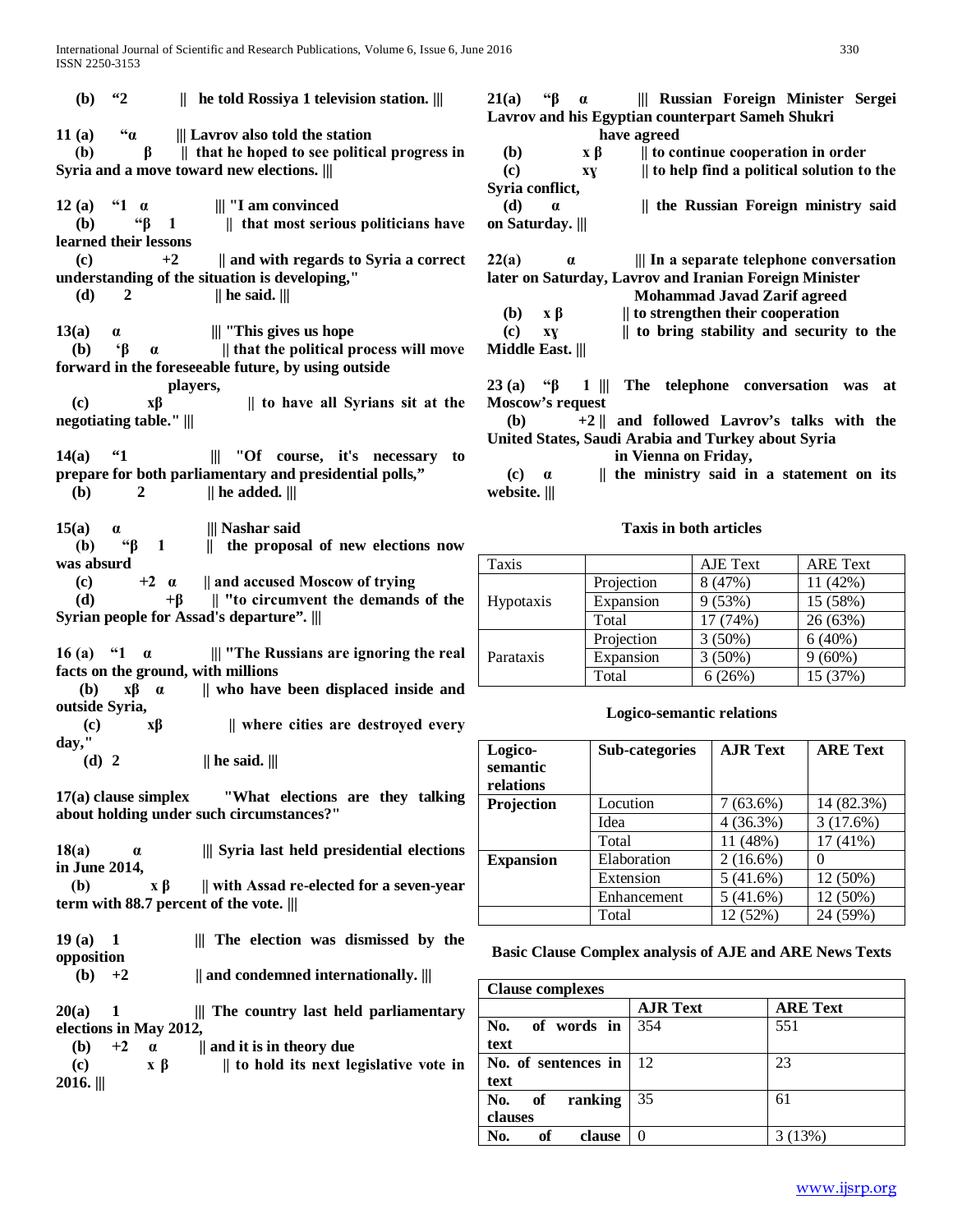**(b) "2 || he told Rossiya 1 television station. ||| 11 (a) "α ||| Lavrov also told the station (b) β || that he hoped to see political progress in Syria and a move toward new elections. ||| 12 (a) "1 α ||| "I am convinced (b) "β 1 || that most serious politicians have learned their lessons (c) +2 || and with regards to Syria a correct understanding of the situation is developing,"** (d) 2  $|| \text{he said.} |||$ **13(a) α ||| "This gives us hope (b) 'β α || that the political process will move forward in the foreseeable future, by using outside players, (c) xβ || to have all Syrians sit at the negotiating table." ||| 14(a) "1 ||| "Of course, it's necessary to prepare for both parliamentary and presidential polls,"**  $(|b\rangle$  2 || he added. || **15(a) α ||| Nashar said (b) "β 1 || the proposal of new elections now was absurd (c) +2 α || and accused Moscow of trying (d) +β || "to circumvent the demands of the Syrian people for Assad's departure". ||| 16 (a)** "**1** α || "The Russians are ignoring the real **facts on the ground, with millions (b) xβ α || who have been displaced inside and outside Syria, (c) xβ || where cities are destroyed every day," (d) 2 || he said. ||| 17(a) clause simplex "What elections are they talking about holding under such circumstances?" 18(a) α ||| Syria last held presidential elections in June 2014, (b) x β || with Assad re-elected for a seven-year term with 88.7 percent of the vote. ||| 19 (a) 1 ||| The election was dismissed by the opposition (b) +2 || and condemned internationally. ||| 20(a) 1 ||| The country last held parliamentary elections in May 2012, (b)**  $+2$  **a** || and it is in theory due **(c)**  $\mathbf{x} \beta$  || to hold its next legislative vote in **2016. |||**

**21(a) "β α ||| Russian Foreign Minister Sergei Lavrov and his Egyptian counterpart Sameh Shukri have agreed (b) x β || to continue cooperation in order (c) xɣ || to help find a political solution to the Syria conflict, (d) α || the Russian Foreign ministry said on Saturday. ||| 22(a) α ||| In a separate telephone conversation later on Saturday, Lavrov and Iranian Foreign Minister Mohammad Javad Zarif agreed (b) x β || to strengthen their cooperation (c) xɣ || to bring stability and security to the Middle East. ||| 23 (a) "β 1 ||| The telephone conversation was at Moscow's request (b) +2 || and followed Lavrov's talks with the United States, Saudi Arabia and Turkey about Syria in Vienna on Friday, (c) α || the ministry said in a statement on its website. |||**

#### **Taxis in both articles**

| Taxis            |            | AJE Text  | <b>ARE</b> Text |
|------------------|------------|-----------|-----------------|
| <b>Hypotaxis</b> | Projection | 8 (47%)   | 11 (42%)        |
|                  | Expansion  | 9(53%)    | 15 (58%)        |
|                  | Total      | 17 (74%)  | 26 (63%)        |
| Parataxis        | Projection | $3(50\%)$ | 6(40%)          |
|                  | Expansion  | $3(50\%)$ | $9(60\%)$       |
|                  | Total      | 6(26%)    | 15 (37%)        |

#### **Logico-semantic relations**

| Logico-<br>semantic<br>relations | Sub-categories | <b>AJR Text</b> | <b>ARE Text</b> |
|----------------------------------|----------------|-----------------|-----------------|
| Projection                       | Locution       | $7(63.6\%)$     | 14 (82.3%)      |
|                                  | Idea           | 4(36.3%)        | 3(17.6%)        |
|                                  | Total          | 11 (48%)        | 17 (41%)        |
| <b>Expansion</b>                 | Elaboration    | $2(16.6\%)$     |                 |
|                                  | Extension      | 5(41.6%)        | 12 (50%)        |
|                                  | Enhancement    | 5(41.6%)        | 12 (50%)        |
|                                  | Total          | 12 (52%)        | 24 (59%)        |

#### **Basic Clause Complex analysis of AJE and ARE News Texts**

| <b>Clause complexes</b> |                 |                 |
|-------------------------|-----------------|-----------------|
|                         | <b>AJR Text</b> | <b>ARE Text</b> |
| of words in<br>No.      | 354             | 551             |
| text                    |                 |                 |
| No. of sentences in     | -12             | 23              |
| text                    |                 |                 |
| No.<br>ranking<br>of    | 35              | 61              |
| clauses                 |                 |                 |
| No.<br>of<br>clause     | 0               | 3 (13%)         |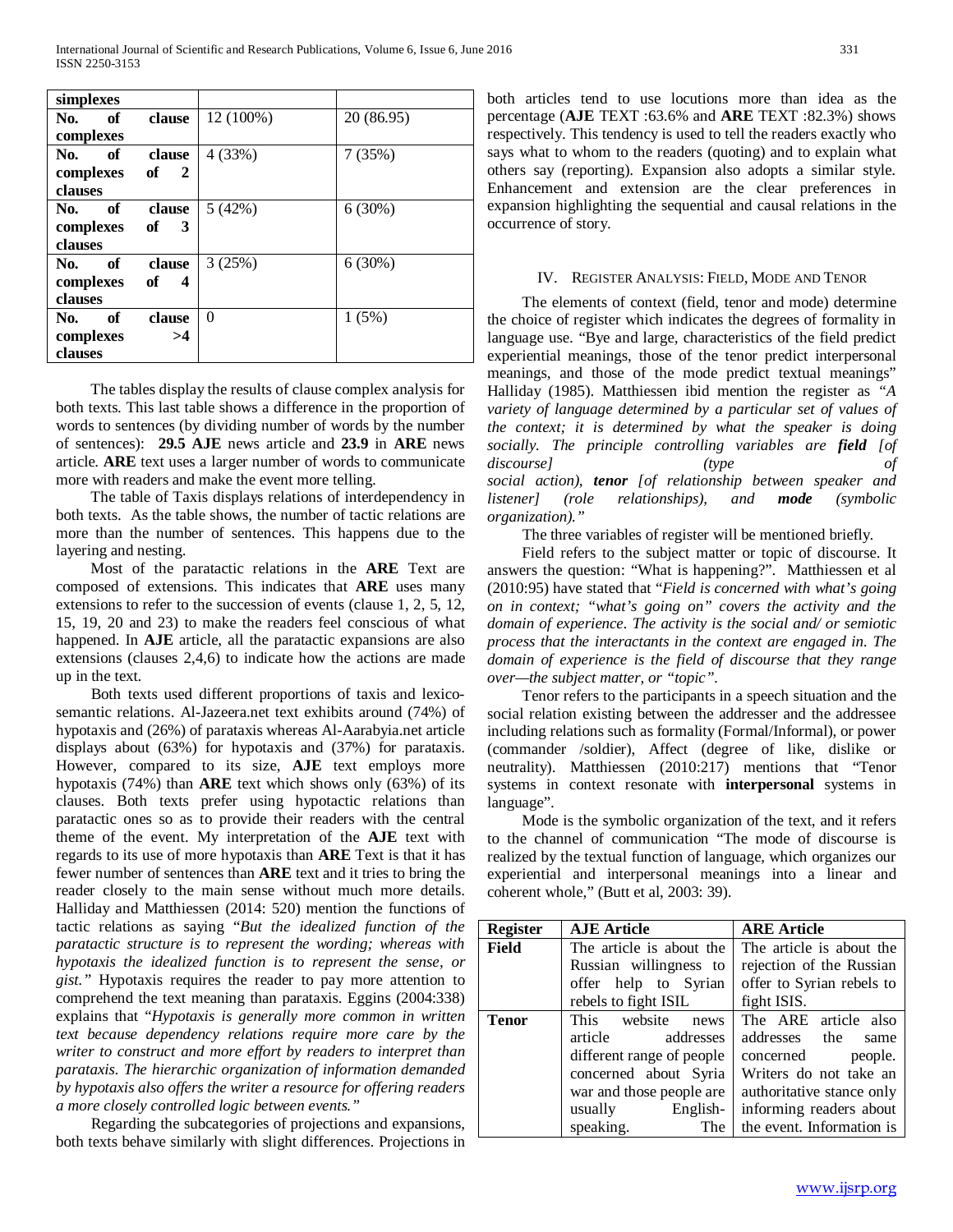| simplexes      |                      |           |            |
|----------------|----------------------|-----------|------------|
| of<br>No.      | clause               | 12 (100%) | 20 (86.95) |
| complexes      |                      |           |            |
| No.<br>- of    | clause               | 4(33%)    | 7(35%)     |
| complexes      | of $2$               |           |            |
| clauses        |                      |           |            |
| of<br>No.      | clause               | 5(42%)    | 6(30%)     |
| complexes      | of $3$               |           |            |
| <b>clauses</b> |                      |           |            |
| of<br>No.      | clause               | 3(25%)    | 6(30%)     |
| complexes      | of<br>$\overline{4}$ |           |            |
| clauses        |                      |           |            |
| of<br>No.      | clause               | $\Omega$  | 1(5%)      |
| complexes      | >4                   |           |            |
| clauses        |                      |           |            |

 The tables display the results of clause complex analysis for both texts. This last table shows a difference in the proportion of words to sentences (by dividing number of words by the number of sentences): **29.5 AJE** news article and **23.9** in **ARE** news article. **ARE** text uses a larger number of words to communicate more with readers and make the event more telling.

 The table of Taxis displays relations of interdependency in both texts. As the table shows, the number of tactic relations are more than the number of sentences. This happens due to the layering and nesting.

 Most of the paratactic relations in the **ARE** Text are composed of extensions. This indicates that **ARE** uses many extensions to refer to the succession of events (clause 1, 2, 5, 12, 15, 19, 20 and 23) to make the readers feel conscious of what happened. In **AJE** article, all the paratactic expansions are also extensions (clauses 2,4,6) to indicate how the actions are made up in the text.

 Both texts used different proportions of taxis and lexicosemantic relations. Al-Jazeera.net text exhibits around (74%) of hypotaxis and (26%) of parataxis whereas Al-Aarabyia.net article displays about (63%) for hypotaxis and (37%) for parataxis. However, compared to its size, **AJE** text employs more hypotaxis (74%) than **ARE** text which shows only (63%) of its clauses. Both texts prefer using hypotactic relations than paratactic ones so as to provide their readers with the central theme of the event. My interpretation of the **AJE** text with regards to its use of more hypotaxis than **ARE** Text is that it has fewer number of sentences than **ARE** text and it tries to bring the reader closely to the main sense without much more details. Halliday and Matthiessen (2014: 520) mention the functions of tactic relations as saying "*But the idealized function of the paratactic structure is to represent the wording; whereas with hypotaxis the idealized function is to represent the sense, or gist."* Hypotaxis requires the reader to pay more attention to comprehend the text meaning than parataxis. Eggins (2004:338) explains that "*Hypotaxis is generally more common in written text because dependency relations require more care by the writer to construct and more effort by readers to interpret than parataxis. The hierarchic organization of information demanded by hypotaxis also offers the writer a resource for offering readers a more closely controlled logic between events."*

 Regarding the subcategories of projections and expansions, both texts behave similarly with slight differences. Projections in both articles tend to use locutions more than idea as the percentage (**AJE** TEXT :63.6% and **ARE** TEXT :82.3%) shows respectively. This tendency is used to tell the readers exactly who says what to whom to the readers (quoting) and to explain what others say (reporting). Expansion also adopts a similar style. Enhancement and extension are the clear preferences in expansion highlighting the sequential and causal relations in the occurrence of story.

### IV. REGISTER ANALYSIS: FIELD, MODE AND TENOR

 The elements of context (field, tenor and mode) determine the choice of register which indicates the degrees of formality in language use. "Bye and large, characteristics of the field predict experiential meanings, those of the tenor predict interpersonal meanings, and those of the mode predict textual meanings" Halliday (1985). Matthiessen ibid mention the register as *"A variety of language determined by a particular set of values of the context; it is determined by what the speaker is doing socially. The principle controlling variables are field [of discourse] (type of social action), tenor [of relationship between speaker and listener] (role relationships), and mode (symbolic organization)."*

The three variables of register will be mentioned briefly.

 Field refers to the subject matter or topic of discourse. It answers the question: "What is happening?". Matthiessen et al (2010:95) have stated that "*Field is concerned with what's going on in context; "what's going on" covers the activity and the domain of experience. The activity is the social and/ or semiotic process that the interactants in the context are engaged in. The domain of experience is the field of discourse that they range over—the subject matter, or "topic".*

 Tenor refers to the participants in a speech situation and the social relation existing between the addresser and the addressee including relations such as formality (Formal/Informal), or power (commander /soldier), Affect (degree of like, dislike or neutrality). Matthiessen (2010:217) mentions that "Tenor systems in context resonate with **interpersonal** systems in language".

 Mode is the symbolic organization of the text, and it refers to the channel of communication "The mode of discourse is realized by the textual function of language, which organizes our experiential and interpersonal meanings into a linear and coherent whole," (Butt et al, 2003: 39).

| <b>Register</b> | <b>AJE Article</b>        | <b>ARE Article</b>        |
|-----------------|---------------------------|---------------------------|
| <b>Field</b>    | The article is about the  | The article is about the  |
|                 | Russian willingness to    | rejection of the Russian  |
|                 | offer help to Syrian      | offer to Syrian rebels to |
|                 | rebels to fight ISIL      | fight ISIS.               |
| <b>Tenor</b>    | This website<br>news      | The ARE article also      |
|                 | article addresses         | addresses the<br>same     |
|                 | different range of people | concerned people.         |
|                 | concerned about Syria     | Writers do not take an    |
|                 | war and those people are  | authoritative stance only |
|                 | English-<br>usually       | informing readers about   |
|                 | speaking.<br>The          | the event. Information is |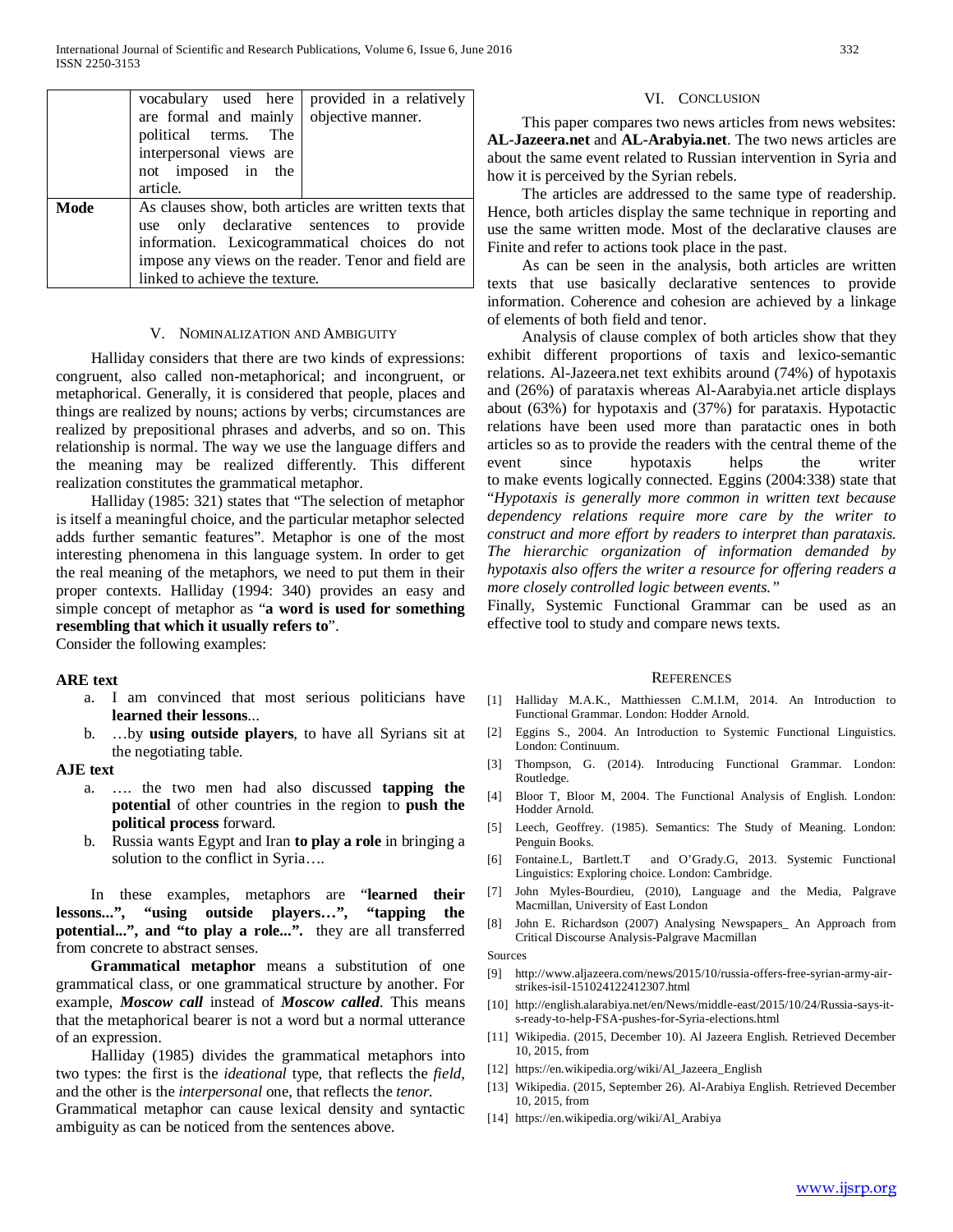|      | vocabulary used here<br>are formal and mainly<br>political terms. The<br>interpersonal views are<br>not imposed in the<br>article. | provided in a relatively<br>objective manner.                                                                                                                                                              |
|------|------------------------------------------------------------------------------------------------------------------------------------|------------------------------------------------------------------------------------------------------------------------------------------------------------------------------------------------------------|
| Mode | linked to achieve the texture.                                                                                                     | As clauses show, both articles are written texts that<br>use only declarative sentences to provide<br>information. Lexicogrammatical choices do not<br>impose any views on the reader. Tenor and field are |

#### V. NOMINALIZATION AND AMBIGUITY

 Halliday considers that there are two kinds of expressions: congruent, also called non-metaphorical; and incongruent, or metaphorical. Generally, it is considered that people, places and things are realized by nouns; actions by verbs; circumstances are realized by prepositional phrases and adverbs, and so on. This relationship is normal. The way we use the language differs and the meaning may be realized differently. This different realization constitutes the grammatical metaphor.

 Halliday (1985: 321) states that "The selection of metaphor is itself a meaningful choice, and the particular metaphor selected adds further semantic features". Metaphor is one of the most interesting phenomena in this language system. In order to get the real meaning of the metaphors, we need to put them in their proper contexts. Halliday (1994: 340) provides an easy and simple concept of metaphor as "**a word is used for something resembling that which it usually refers to**".

Consider the following examples:

#### **ARE text**

- a. I am convinced that most serious politicians have **learned their lessons**...
- b. …by **using outside players**, to have all Syrians sit at the negotiating table.

#### **AJE text**

- a. …. the two men had also discussed **tapping the potential** of other countries in the region to **push the political process** forward.
- b. Russia wants Egypt and Iran **to play a role** in bringing a solution to the conflict in Syria....

 In these examples, metaphors are "**learned their lessons...", "using outside players…", "tapping the potential...", and "to play a role...".** they are all transferred from concrete to abstract senses.

 **Grammatical metaphor** means a substitution of one grammatical class, or one grammatical structure by another. For example, *Moscow call* instead of *Moscow called*. This means that the metaphorical bearer is not a word but a normal utterance of an expression.

 Halliday (1985) divides the grammatical metaphors into two types: the first is the *ideational* type, that reflects the *field*, and the other is the *interpersonal* one, that reflects the *tenor.* 

Grammatical metaphor can cause lexical density and syntactic ambiguity as can be noticed from the sentences above.

#### VI. CONCLUSION

 This paper compares two news articles from news websites: **AL-Jazeera.net** and **AL-Arabyia.net**. The two news articles are about the same event related to Russian intervention in Syria and how it is perceived by the Syrian rebels.

 The articles are addressed to the same type of readership. Hence, both articles display the same technique in reporting and use the same written mode. Most of the declarative clauses are Finite and refer to actions took place in the past.

 As can be seen in the analysis, both articles are written texts that use basically declarative sentences to provide information. Coherence and cohesion are achieved by a linkage of elements of both field and tenor.

 Analysis of clause complex of both articles show that they exhibit different proportions of taxis and lexico-semantic relations. Al-Jazeera.net text exhibits around (74%) of hypotaxis and (26%) of parataxis whereas Al-Aarabyia.net article displays about (63%) for hypotaxis and (37%) for parataxis. Hypotactic relations have been used more than paratactic ones in both articles so as to provide the readers with the central theme of the event since hypotaxis helps the writer to make events logically connected. Eggins (2004:338) state that "*Hypotaxis is generally more common in written text because dependency relations require more care by the writer to construct and more effort by readers to interpret than parataxis. The hierarchic organization of information demanded by hypotaxis also offers the writer a resource for offering readers a more closely controlled logic between events."*

Finally, Systemic Functional Grammar can be used as an effective tool to study and compare news texts.

#### **REFERENCES**

- [1] Halliday M.A.K., Matthiessen C.M.I.M, 2014. An Introduction to Functional Grammar. London: Hodder Arnold.
- [2] Eggins S., 2004. An Introduction to Systemic Functional Linguistics. London: Continuum.
- [3] Thompson, G. (2014). Introducing Functional Grammar. London: Routledge.
- [4] Bloor T, Bloor M, 2004. The Functional Analysis of English. London: Hodder Arnold.
- [5] Leech, Geoffrey. (1985). Semantics: The Study of Meaning. London: Penguin Books.
- [6] Fontaine.L, Bartlett.T and O'Grady.G, 2013. Systemic Functional Linguistics: Exploring choice. London: Cambridge.
- [7] John Myles-Bourdieu, (2010), Language and the Media, Palgrave Macmillan, University of East London
- [8] John E. Richardson (2007) Analysing Newspapers\_ An Approach from Critical Discourse Analysis-Palgrave Macmillan

Sources

- [9] http://www.aljazeera.com/news/2015/10/russia-offers-free-syrian-army-airstrikes-isil-151024122412307.html
- [10] http://english.alarabiya.net/en/News/middle-east/2015/10/24/Russia-says-its-ready-to-help-FSA-pushes-for-Syria-elections.html
- [11] Wikipedia. (2015, December 10). Al Jazeera English. Retrieved December 10, 2015, from
- [12] https://en.wikipedia.org/wiki/Al\_Jazeera\_English
- [13] Wikipedia. (2015, September 26). Al-Arabiya English. Retrieved December 10, 2015, from
- [14] https://en.wikipedia.org/wiki/Al\_Arabiya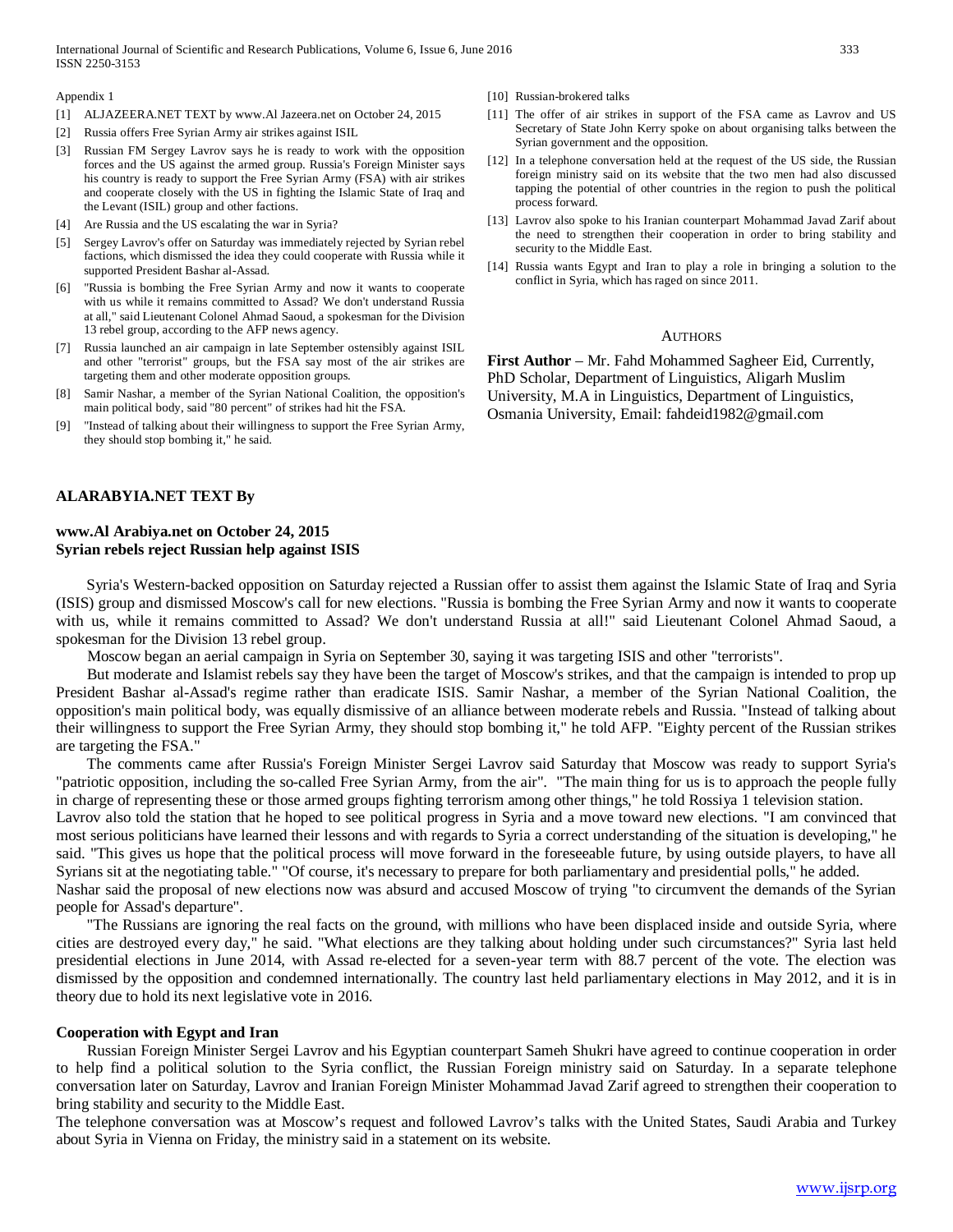Appendix 1

- [1] ALJAZEERA.NET TEXT by www.Al Jazeera.net on October 24, 2015
- [2] Russia offers Free Syrian Army air strikes against ISIL
- [3] Russian FM Sergey Lavrov says he is ready to work with the opposition forces and the US against the armed group. Russia's Foreign Minister says his country is ready to support the Free Syrian Army (FSA) with air strikes and cooperate closely with the US in fighting the Islamic State of Iraq and the Levant (ISIL) group and other factions.
- [4] Are Russia and the US escalating the war in Syria?
- [5] Sergey Lavrov's offer on Saturday was immediately rejected by Syrian rebel factions, which dismissed the idea they could cooperate with Russia while it supported President Bashar al-Assad.
- [6] "Russia is bombing the Free Syrian Army and now it wants to cooperate with us while it remains committed to Assad? We don't understand Russia at all," said Lieutenant Colonel Ahmad Saoud, a spokesman for the Division 13 rebel group, according to the AFP news agency.
- [7] Russia launched an air campaign in late September ostensibly against ISIL and other "terrorist" groups, but the FSA say most of the air strikes are targeting them and other moderate opposition groups.
- [8] Samir Nashar, a member of the Syrian National Coalition, the opposition's main political body, said "80 percent" of strikes had hit the FSA.
- [9] "Instead of talking about their willingness to support the Free Syrian Army, they should stop bombing it," he said.
- **ALARABYIA.NET TEXT By**

# **www.Al Arabiya.net on October 24, 2015 Syrian rebels reject Russian help against ISIS**

 Syria's Western-backed opposition on Saturday rejected a Russian offer to assist them against the Islamic State of Iraq and Syria (ISIS) group and dismissed Moscow's call for new elections. "Russia is bombing the Free Syrian Army and now it wants to cooperate with us, while it remains committed to Assad? We don't understand Russia at all!" said Lieutenant Colonel Ahmad Saoud, a spokesman for the Division 13 rebel group.

Moscow began an aerial campaign in Syria on September 30, saying it was targeting ISIS and other "terrorists".

 But moderate and Islamist rebels say they have been the target of Moscow's strikes, and that the campaign is intended to prop up President Bashar al-Assad's regime rather than eradicate ISIS. Samir Nashar, a member of the Syrian National Coalition, the opposition's main political body, was equally dismissive of an alliance between moderate rebels and Russia. "Instead of talking about their willingness to support the Free Syrian Army, they should stop bombing it," he told AFP. "Eighty percent of the Russian strikes are targeting the FSA."

 The comments came after Russia's Foreign Minister Sergei Lavrov said Saturday that Moscow was ready to support Syria's "patriotic opposition, including the so-called Free Syrian Army, from the air". "The main thing for us is to approach the people fully in charge of representing these or those armed groups fighting terrorism among other things," he told Rossiya 1 television station.

Lavrov also told the station that he hoped to see political progress in Syria and a move toward new elections. "I am convinced that most serious politicians have learned their lessons and with regards to Syria a correct understanding of the situation is developing," he said. "This gives us hope that the political process will move forward in the foreseeable future, by using outside players, to have all Syrians sit at the negotiating table." "Of course, it's necessary to prepare for both parliamentary and presidential polls," he added.

Nashar said the proposal of new elections now was absurd and accused Moscow of trying "to circumvent the demands of the Syrian people for Assad's departure".

 "The Russians are ignoring the real facts on the ground, with millions who have been displaced inside and outside Syria, where cities are destroyed every day," he said. "What elections are they talking about holding under such circumstances?" Syria last held presidential elections in June 2014, with Assad re-elected for a seven-year term with 88.7 percent of the vote. The election was dismissed by the opposition and condemned internationally. The country last held parliamentary elections in May 2012, and it is in theory due to hold its next legislative vote in 2016.

### **Cooperation with Egypt and Iran**

 Russian Foreign Minister Sergei Lavrov and his Egyptian counterpart Sameh Shukri have agreed to continue cooperation in order to help find a political solution to the Syria conflict, the Russian Foreign ministry said on Saturday. In a separate telephone conversation later on Saturday, Lavrov and Iranian Foreign Minister Mohammad Javad Zarif agreed to strengthen their cooperation to bring stability and security to the Middle East.

The telephone conversation was at Moscow's request and followed Lavrov's talks with the United States, Saudi Arabia and Turkey about Syria in Vienna on Friday, the ministry said in a statement on its website.

- [10] Russian-brokered talks
- [11] The offer of air strikes in support of the FSA came as Lavrov and US Secretary of State John Kerry spoke on about organising talks between the Syrian government and the opposition.
- [12] In a telephone conversation held at the request of the US side, the Russian foreign ministry said on its website that the two men had also discussed tapping the potential of other countries in the region to push the political process forward.
- [13] Lavrov also spoke to his Iranian counterpart Mohammad Javad Zarif about the need to strengthen their cooperation in order to bring stability and security to the Middle East.
- [14] Russia wants Egypt and Iran to play a role in bringing a solution to the conflict in Syria, which has raged on since 2011.

#### **AUTHORS**

**First Author** – Mr. Fahd Mohammed Sagheer Eid, Currently, PhD Scholar, Department of Linguistics, Aligarh Muslim University, M.A in Linguistics, Department of Linguistics, Osmania University, Email: fahdeid1982@gmail.com